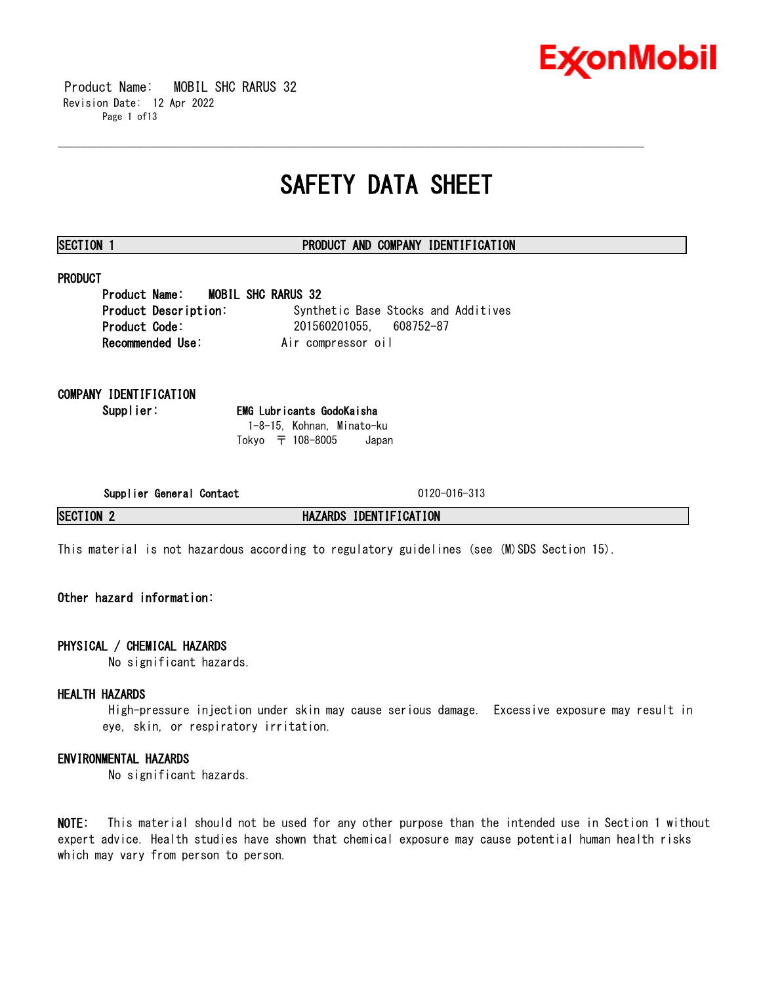

 Product Name: MOBIL SHC RARUS 32 Revision Date: 12 Apr 2022 Page 1 of13

# **SAFETY DATA SHEET**

\_\_\_\_\_\_\_\_\_\_\_\_\_\_\_\_\_\_\_\_\_\_\_\_\_\_\_\_\_\_\_\_\_\_\_\_\_\_\_\_\_\_\_\_\_\_\_\_\_\_\_\_\_\_\_\_\_\_\_\_\_\_\_\_\_\_\_\_\_\_\_\_\_\_\_\_\_\_\_\_\_\_\_\_\_\_\_\_\_\_\_\_\_\_\_\_\_\_\_\_\_\_\_\_\_\_\_\_\_\_\_\_\_\_\_\_\_\_

# **SECTION 1 PRODUCT AND COMPANY IDENTIFICATION**

# **PRODUCT**

**Product Name: MOBIL SHC RARUS 32 Product Description:** Synthetic Base Stocks and Additives **Product Code:** 201560201055, 608752-87 **Recommended Use:** Air compressor oil

**COMPANY IDENTIFICATION**

**Supplier: EMG Lubricants GodoKaisha** 1-8-15, Kohnan, Minato-ku Tokyo 〒 108-8005 Japan

**Supplier General Contact** 0120-016-313

**SECTION 2 HAZARDS IDENTIFICATION**

This material is not hazardous according to regulatory guidelines (see (M)SDS Section 15).

# **Other hazard information:**

# **PHYSICAL / CHEMICAL HAZARDS**

No significant hazards.

# **HEALTH HAZARDS**

High-pressure injection under skin may cause serious damage. Excessive exposure may result in eye, skin, or respiratory irritation.

# **ENVIRONMENTAL HAZARDS**

No significant hazards.

**NOTE:** This material should not be used for any other purpose than the intended use in Section 1 without expert advice. Health studies have shown that chemical exposure may cause potential human health risks which may vary from person to person.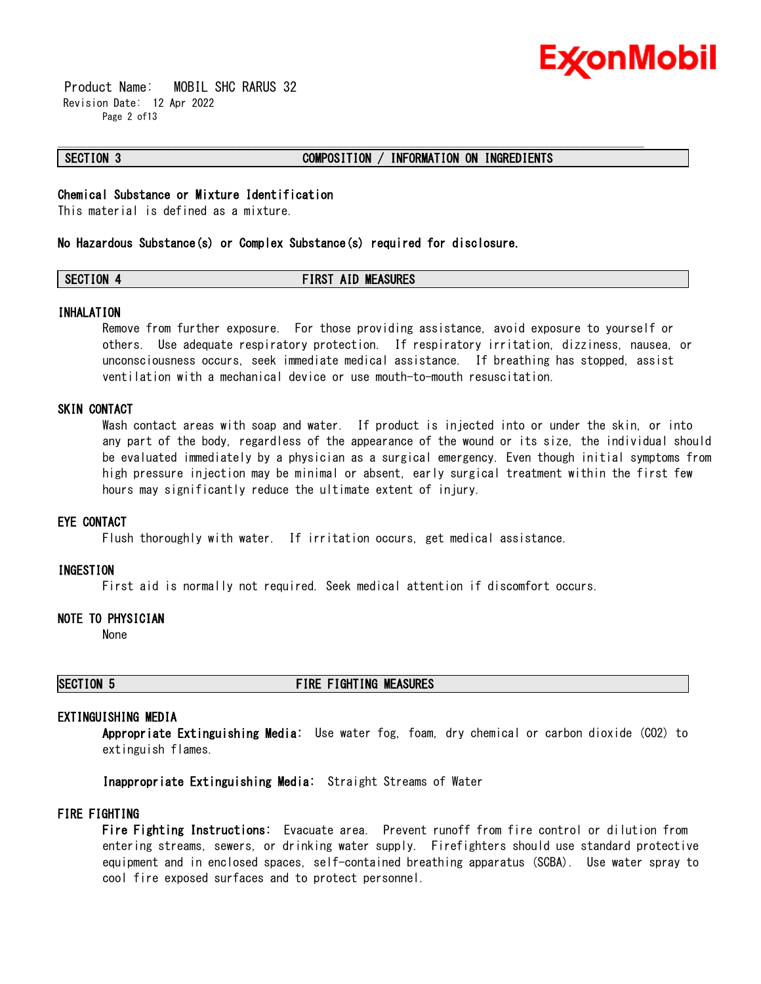

 Product Name: MOBIL SHC RARUS 32 Revision Date: 12 Apr 2022 Page 2 of13

## **SECTION 3 COMPOSITION / INFORMATION ON INGREDIENTS**

# **Chemical Substance or Mixture Identification**

This material is defined as a mixture.

#### **No Hazardous Substance(s) or Complex Substance(s) required for disclosure.**

# **SECTION 4 FIRST AID MEASURES**

\_\_\_\_\_\_\_\_\_\_\_\_\_\_\_\_\_\_\_\_\_\_\_\_\_\_\_\_\_\_\_\_\_\_\_\_\_\_\_\_\_\_\_\_\_\_\_\_\_\_\_\_\_\_\_\_\_\_\_\_\_\_\_\_\_\_\_\_\_\_\_\_\_\_\_\_\_\_\_\_\_\_\_\_\_\_\_\_\_\_\_\_\_\_\_\_\_\_\_\_\_\_\_\_\_\_\_\_\_\_\_\_\_\_\_\_\_\_

#### **INHALATION**

Remove from further exposure. For those providing assistance, avoid exposure to yourself or others. Use adequate respiratory protection. If respiratory irritation, dizziness, nausea, or unconsciousness occurs, seek immediate medical assistance. If breathing has stopped, assist ventilation with a mechanical device or use mouth-to-mouth resuscitation.

## **SKIN CONTACT**

Wash contact areas with soap and water. If product is injected into or under the skin, or into any part of the body, regardless of the appearance of the wound or its size, the individual should be evaluated immediately by a physician as a surgical emergency. Even though initial symptoms from high pressure injection may be minimal or absent, early surgical treatment within the first few hours may significantly reduce the ultimate extent of injury.

#### **EYE CONTACT**

Flush thoroughly with water. If irritation occurs, get medical assistance.

#### **INGESTION**

First aid is normally not required. Seek medical attention if discomfort occurs.

## **NOTE TO PHYSICIAN**

None

# **SECTION 5 FIRE FIGHTING MEASURES**

# **EXTINGUISHING MEDIA**

**Appropriate Extinguishing Media:** Use water fog, foam, dry chemical or carbon dioxide (CO2) to extinguish flames.

**Inappropriate Extinguishing Media:** Straight Streams of Water

# **FIRE FIGHTING**

**Fire Fighting Instructions:** Evacuate area. Prevent runoff from fire control or dilution from entering streams, sewers, or drinking water supply. Firefighters should use standard protective equipment and in enclosed spaces, self-contained breathing apparatus (SCBA). Use water spray to cool fire exposed surfaces and to protect personnel.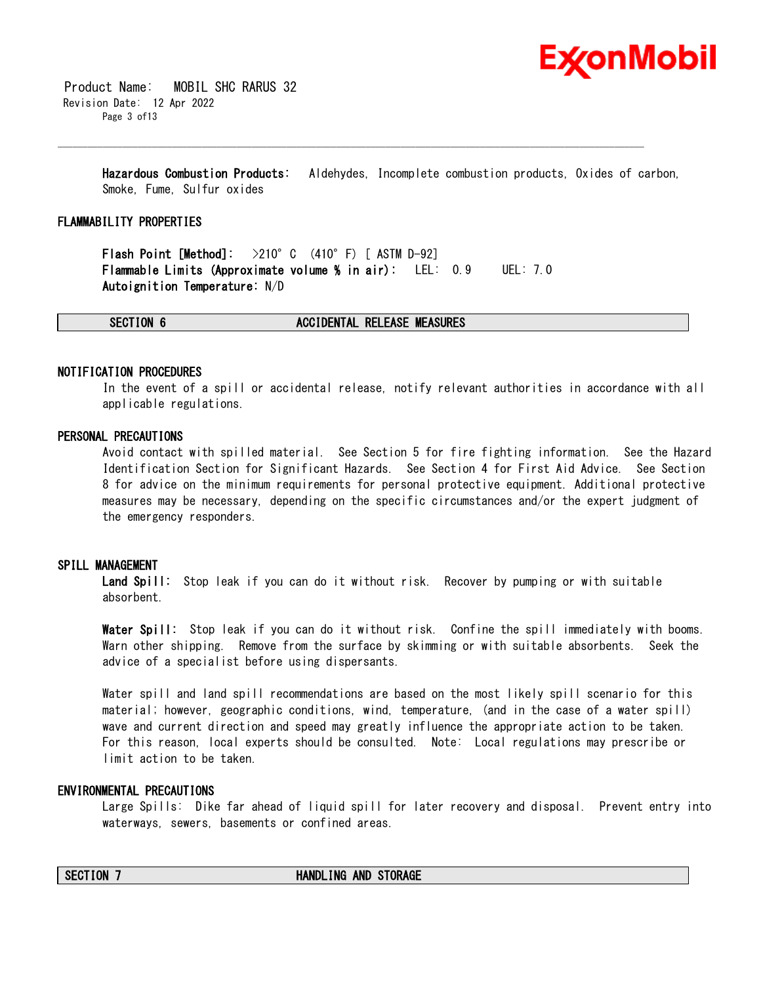

 Product Name: MOBIL SHC RARUS 32 Revision Date: 12 Apr 2022 Page 3 of13

> **Hazardous Combustion Products:** Aldehydes, Incomplete combustion products, Oxides of carbon, Smoke, Fume, Sulfur oxides

\_\_\_\_\_\_\_\_\_\_\_\_\_\_\_\_\_\_\_\_\_\_\_\_\_\_\_\_\_\_\_\_\_\_\_\_\_\_\_\_\_\_\_\_\_\_\_\_\_\_\_\_\_\_\_\_\_\_\_\_\_\_\_\_\_\_\_\_\_\_\_\_\_\_\_\_\_\_\_\_\_\_\_\_\_\_\_\_\_\_\_\_\_\_\_\_\_\_\_\_\_\_\_\_\_\_\_\_\_\_\_\_\_\_\_\_\_\_

#### **FLAMMABILITY PROPERTIES**

**Flash Point [Method]:** >210°C (410°F) [ ASTM D-92] **Flammable Limits (Approximate volume % in air):** LEL: 0.9 UEL: 7.0 **Autoignition Temperature:** N/D

**SECTION 6 ACCIDENTAL RELEASE MEASURES**

#### **NOTIFICATION PROCEDURES**

In the event of a spill or accidental release, notify relevant authorities in accordance with all applicable regulations.

# **PERSONAL PRECAUTIONS**

Avoid contact with spilled material. See Section 5 for fire fighting information. See the Hazard Identification Section for Significant Hazards. See Section 4 for First Aid Advice. See Section 8 for advice on the minimum requirements for personal protective equipment. Additional protective measures may be necessary, depending on the specific circumstances and/or the expert judgment of the emergency responders.

#### **SPILL MANAGEMENT**

**Land Spill:** Stop leak if you can do it without risk. Recover by pumping or with suitable absorbent.

**Water Spill:** Stop leak if you can do it without risk. Confine the spill immediately with booms. Warn other shipping. Remove from the surface by skimming or with suitable absorbents. Seek the advice of a specialist before using dispersants.

Water spill and land spill recommendations are based on the most likely spill scenario for this material; however, geographic conditions, wind, temperature, (and in the case of a water spill) wave and current direction and speed may greatly influence the appropriate action to be taken. For this reason, local experts should be consulted. Note: Local regulations may prescribe or limit action to be taken.

## **ENVIRONMENTAL PRECAUTIONS**

Large Spills: Dike far ahead of liquid spill for later recovery and disposal. Prevent entry into waterways, sewers, basements or confined areas.

#### **SECTION 7 HANDLING AND STORAGE**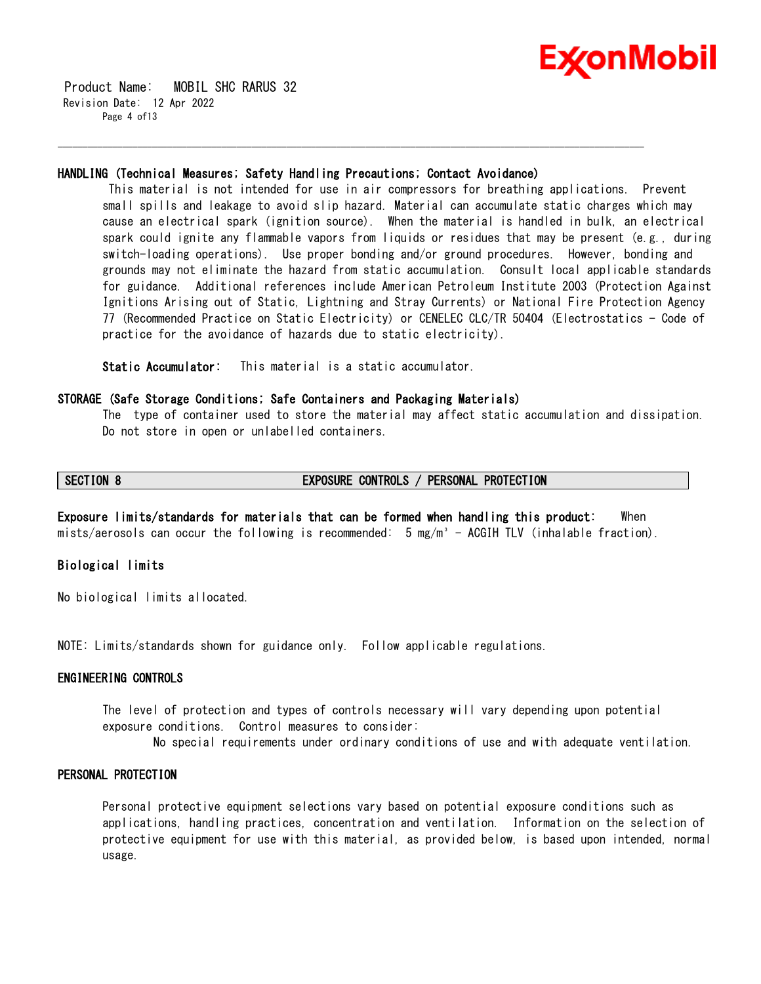

 Product Name: MOBIL SHC RARUS 32 Revision Date: 12 Apr 2022 Page 4 of13

#### **HANDLING (Technical Measures; Safety Handling Precautions; Contact Avoidance)**

\_\_\_\_\_\_\_\_\_\_\_\_\_\_\_\_\_\_\_\_\_\_\_\_\_\_\_\_\_\_\_\_\_\_\_\_\_\_\_\_\_\_\_\_\_\_\_\_\_\_\_\_\_\_\_\_\_\_\_\_\_\_\_\_\_\_\_\_\_\_\_\_\_\_\_\_\_\_\_\_\_\_\_\_\_\_\_\_\_\_\_\_\_\_\_\_\_\_\_\_\_\_\_\_\_\_\_\_\_\_\_\_\_\_\_\_\_\_

This material is not intended for use in air compressors for breathing applications. Prevent small spills and leakage to avoid slip hazard. Material can accumulate static charges which may cause an electrical spark (ignition source). When the material is handled in bulk, an electrical spark could ignite any flammable vapors from liquids or residues that may be present (e.g., during switch-loading operations). Use proper bonding and/or ground procedures. However, bonding and grounds may not eliminate the hazard from static accumulation. Consult local applicable standards for guidance. Additional references include American Petroleum Institute 2003 (Protection Against Ignitions Arising out of Static, Lightning and Stray Currents) or National Fire Protection Agency 77 (Recommended Practice on Static Electricity) or CENELEC CLC/TR 50404 (Electrostatics - Code of practice for the avoidance of hazards due to static electricity).

**Static Accumulator:** This material is a static accumulator.

## **STORAGE (Safe Storage Conditions; Safe Containers and Packaging Materials)**

The type of container used to store the material may affect static accumulation and dissipation. Do not store in open or unlabelled containers.

# **SECTION 8 EXPOSURE CONTROLS / PERSONAL PROTECTION**

**Exposure limits/standards for materials that can be formed when handling this product:** When mists/aerosols can occur the following is recommended:  $5 \text{ mg/m}^3$  - ACGIH TLV (inhalable fraction).

# **Biological limits**

No biological limits allocated.

NOTE: Limits/standards shown for guidance only. Follow applicable regulations.

# **ENGINEERING CONTROLS**

The level of protection and types of controls necessary will vary depending upon potential exposure conditions. Control measures to consider:

No special requirements under ordinary conditions of use and with adequate ventilation.

# **PERSONAL PROTECTION**

Personal protective equipment selections vary based on potential exposure conditions such as applications, handling practices, concentration and ventilation. Information on the selection of protective equipment for use with this material, as provided below, is based upon intended, normal usage.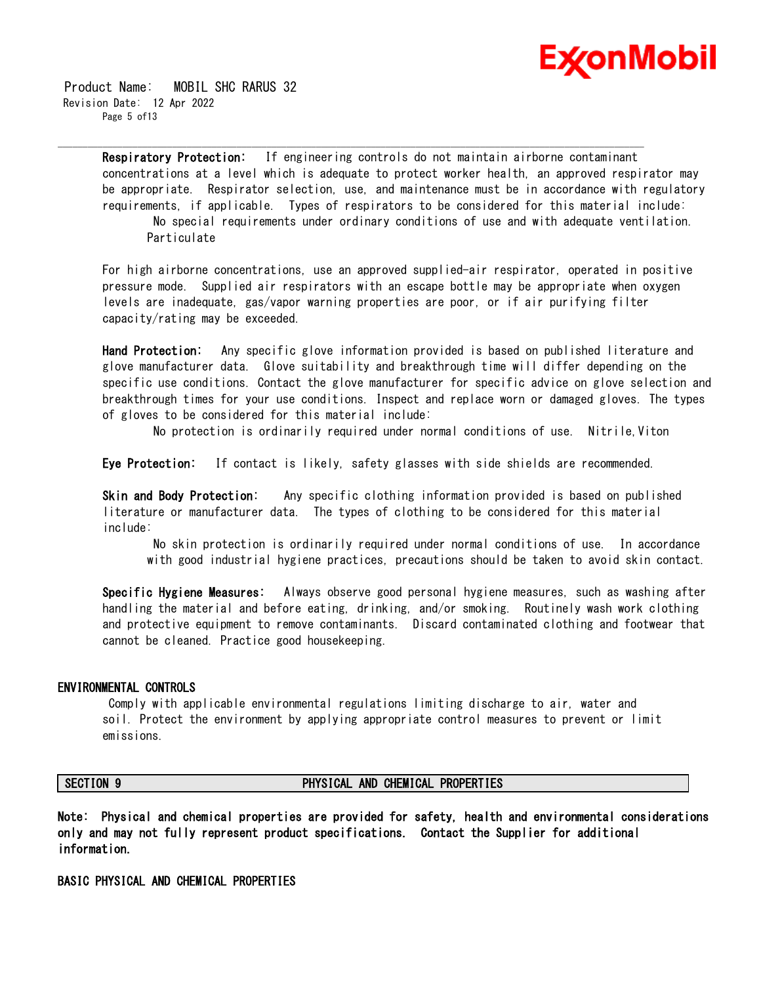

 Product Name: MOBIL SHC RARUS 32 Revision Date: 12 Apr 2022 Page 5 of13

> **Respiratory Protection:** If engineering controls do not maintain airborne contaminant concentrations at a level which is adequate to protect worker health, an approved respirator may be appropriate. Respirator selection, use, and maintenance must be in accordance with regulatory requirements, if applicable. Types of respirators to be considered for this material include: No special requirements under ordinary conditions of use and with adequate ventilation. **Particulate**

\_\_\_\_\_\_\_\_\_\_\_\_\_\_\_\_\_\_\_\_\_\_\_\_\_\_\_\_\_\_\_\_\_\_\_\_\_\_\_\_\_\_\_\_\_\_\_\_\_\_\_\_\_\_\_\_\_\_\_\_\_\_\_\_\_\_\_\_\_\_\_\_\_\_\_\_\_\_\_\_\_\_\_\_\_\_\_\_\_\_\_\_\_\_\_\_\_\_\_\_\_\_\_\_\_\_\_\_\_\_\_\_\_\_\_\_\_\_

For high airborne concentrations, use an approved supplied-air respirator, operated in positive pressure mode. Supplied air respirators with an escape bottle may be appropriate when oxygen levels are inadequate, gas/vapor warning properties are poor, or if air purifying filter capacity/rating may be exceeded.

**Hand Protection:** Any specific glove information provided is based on published literature and glove manufacturer data. Glove suitability and breakthrough time will differ depending on the specific use conditions. Contact the glove manufacturer for specific advice on glove selection and breakthrough times for your use conditions. Inspect and replace worn or damaged gloves. The types of gloves to be considered for this material include:

No protection is ordinarily required under normal conditions of use. Nitrile,Viton

**Eye Protection:** If contact is likely, safety glasses with side shields are recommended.

**Skin and Body Protection:** Any specific clothing information provided is based on published literature or manufacturer data. The types of clothing to be considered for this material include:

No skin protection is ordinarily required under normal conditions of use. In accordance with good industrial hygiene practices, precautions should be taken to avoid skin contact.

**Specific Hygiene Measures:** Always observe good personal hygiene measures, such as washing after handling the material and before eating, drinking, and/or smoking. Routinely wash work clothing and protective equipment to remove contaminants. Discard contaminated clothing and footwear that cannot be cleaned. Practice good housekeeping.

#### **ENVIRONMENTAL CONTROLS**

Comply with applicable environmental regulations limiting discharge to air, water and soil. Protect the environment by applying appropriate control measures to prevent or limit emissions.

#### **SECTION 9 PHYSICAL AND CHEMICAL PROPERTIES**

**Note: Physical and chemical properties are provided for safety, health and environmental considerations only and may not fully represent product specifications. Contact the Supplier for additional information.**

**BASIC PHYSICAL AND CHEMICAL PROPERTIES**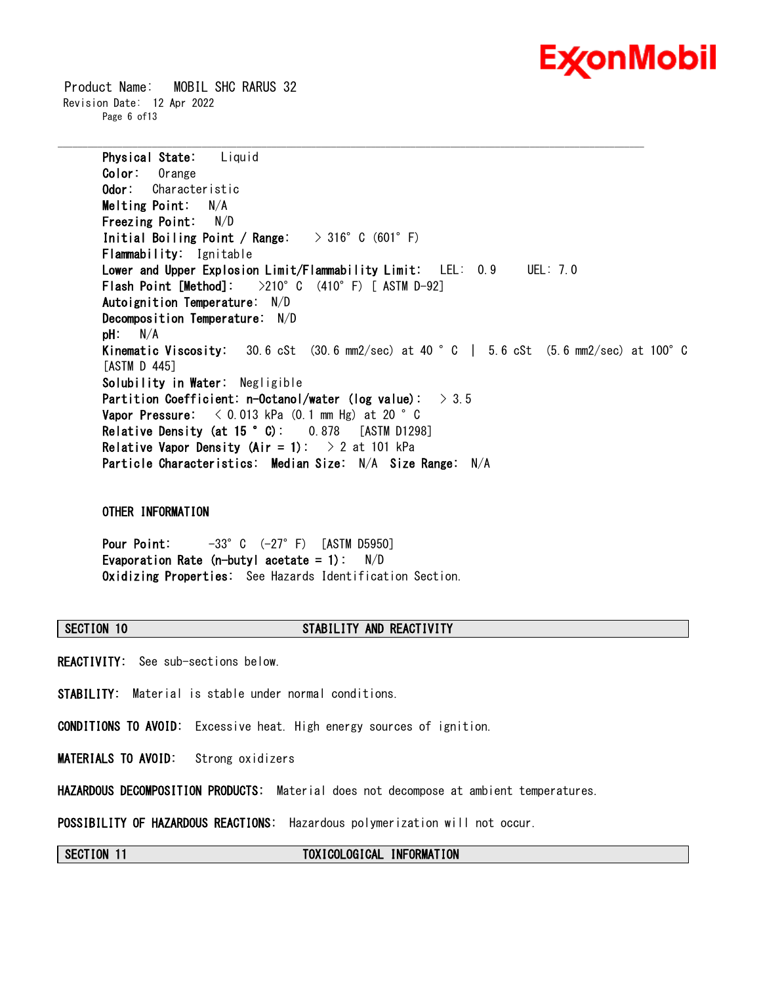

 Product Name: MOBIL SHC RARUS 32 Revision Date: 12 Apr 2022 Page 6 of13

> **Physical State:** Liquid **Color:** Orange **Odor:** Characteristic **Melting Point:** N/A **Freezing Point:** N/D **Initial Boiling Point / Range:** > 316°C (601°F) **Flammability:** Ignitable **Lower and Upper Explosion Limit/Flammability Limit:** LEL: 0.9 UEL: 7.0 **Flash Point [Method]:** >210°C (410°F) [ ASTM D-92] **Autoignition Temperature:** N/D **Decomposition Temperature:** N/D **pH:** N/A **Kinematic Viscosity:** 30.6 cSt (30.6 mm2/sec) at 40 °C | 5.6 cSt (5.6 mm2/sec) at 100°C [ASTM D 445] **Solubility in Water:** Negligible **Partition Coefficient: n-Octanol/water (log value):** > 3.5 **Vapor Pressure:** < 0.013 kPa (0.1 mm Hg) at 20 °C **Relative Density (at 15 °C):** 0.878 [ASTM D1298] **Relative Vapor Density (Air = 1):** > 2 at 101 kPa **Particle Characteristics: Median Size:** N/A **Size Range:** N/A

\_\_\_\_\_\_\_\_\_\_\_\_\_\_\_\_\_\_\_\_\_\_\_\_\_\_\_\_\_\_\_\_\_\_\_\_\_\_\_\_\_\_\_\_\_\_\_\_\_\_\_\_\_\_\_\_\_\_\_\_\_\_\_\_\_\_\_\_\_\_\_\_\_\_\_\_\_\_\_\_\_\_\_\_\_\_\_\_\_\_\_\_\_\_\_\_\_\_\_\_\_\_\_\_\_\_\_\_\_\_\_\_\_\_\_\_\_\_

**OTHER INFORMATION**

**Pour Point:** -33°C (-27°F) [ASTM D5950] **Evaporation Rate (n-butyl acetate = 1):** N/D **Oxidizing Properties:** See Hazards Identification Section.

## **SECTION 10 STABILITY AND REACTIVITY**

**REACTIVITY:** See sub-sections below.

**STABILITY:** Material is stable under normal conditions.

**CONDITIONS TO AVOID:** Excessive heat. High energy sources of ignition.

**MATERIALS TO AVOID:** Strong oxidizers

**HAZARDOUS DECOMPOSITION PRODUCTS:** Material does not decompose at ambient temperatures.

**POSSIBILITY OF HAZARDOUS REACTIONS:** Hazardous polymerization will not occur.

**SECTION 11 TOXICOLOGICAL INFORMATION**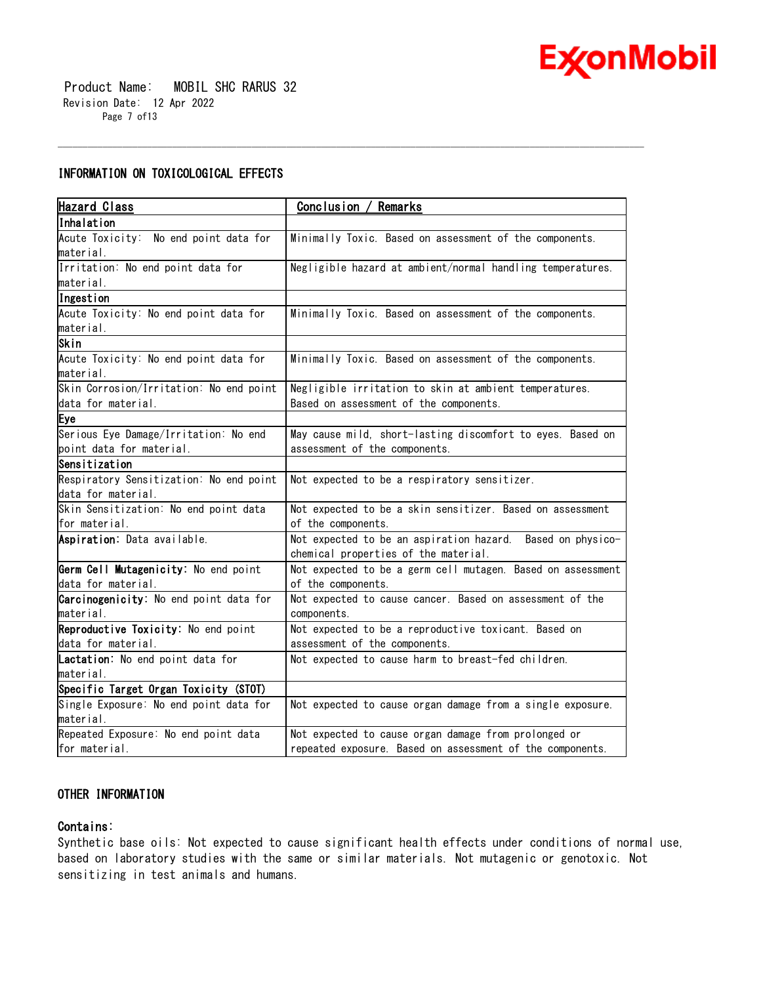

 Product Name: MOBIL SHC RARUS 32 Revision Date: 12 Apr 2022 Page 7 of13

# **INFORMATION ON TOXICOLOGICAL EFFECTS**

| <b>Hazard Class</b>                     | <u>Conclusion / Remarks</u>                                 |  |
|-----------------------------------------|-------------------------------------------------------------|--|
| Inhalation                              |                                                             |  |
| Acute Toxicity: No end point data for   | Minimally Toxic. Based on assessment of the components.     |  |
| lmaterial.                              |                                                             |  |
| Irritation: No end point data for       | Negligible hazard at ambient/normal handling temperatures.  |  |
| lmaterial.                              |                                                             |  |
| Ingestion                               |                                                             |  |
| Acute Toxicity: No end point data for   | Minimally Toxic. Based on assessment of the components.     |  |
| material.                               |                                                             |  |
| Skin                                    |                                                             |  |
| Acute Toxicity: No end point data for   | Minimally Toxic. Based on assessment of the components.     |  |
| material.                               |                                                             |  |
| Skin Corrosion/Irritation: No end point | Negligible irritation to skin at ambient temperatures.      |  |
| data for material.                      | Based on assessment of the components.                      |  |
| Eye                                     |                                                             |  |
| Serious Eye Damage/Irritation: No end   | May cause mild, short-lasting discomfort to eyes. Based on  |  |
| point data for material.                | assessment of the components.                               |  |
| Sensitization                           |                                                             |  |
| Respiratory Sensitization: No end point | Not expected to be a respiratory sensitizer.                |  |
| data for material.                      |                                                             |  |
| Skin Sensitization: No end point data   | Not expected to be a skin sensitizer. Based on assessment   |  |
| for material.                           | of the components.                                          |  |
| Aspiration: Data available.             | Not expected to be an aspiration hazard. Based on physico-  |  |
|                                         | chemical properties of the material.                        |  |
| Germ Cell Mutagenicity: No end point    | Not expected to be a germ cell mutagen. Based on assessment |  |
| data for material.                      | of the components.                                          |  |
| Carcinogenicity: No end point data for  | Not expected to cause cancer. Based on assessment of the    |  |
| material.                               | components.                                                 |  |
| Reproductive Toxicity: No end point     | Not expected to be a reproductive toxicant. Based on        |  |
| data for material.                      | assessment of the components.                               |  |
| Lactation: No end point data for        | Not expected to cause harm to breast-fed children.          |  |
| material.                               |                                                             |  |
| Specific Target Organ Toxicity (STOT)   |                                                             |  |
| Single Exposure: No end point data for  | Not expected to cause organ damage from a single exposure.  |  |
| material.                               |                                                             |  |
| Repeated Exposure: No end point data    | Not expected to cause organ damage from prolonged or        |  |
| for material.                           | repeated exposure. Based on assessment of the components.   |  |

\_\_\_\_\_\_\_\_\_\_\_\_\_\_\_\_\_\_\_\_\_\_\_\_\_\_\_\_\_\_\_\_\_\_\_\_\_\_\_\_\_\_\_\_\_\_\_\_\_\_\_\_\_\_\_\_\_\_\_\_\_\_\_\_\_\_\_\_\_\_\_\_\_\_\_\_\_\_\_\_\_\_\_\_\_\_\_\_\_\_\_\_\_\_\_\_\_\_\_\_\_\_\_\_\_\_\_\_\_\_\_\_\_\_\_\_\_\_

# **OTHER INFORMATION**

# **Contains:**

Synthetic base oils: Not expected to cause significant health effects under conditions of normal use, based on laboratory studies with the same or similar materials. Not mutagenic or genotoxic. Not sensitizing in test animals and humans.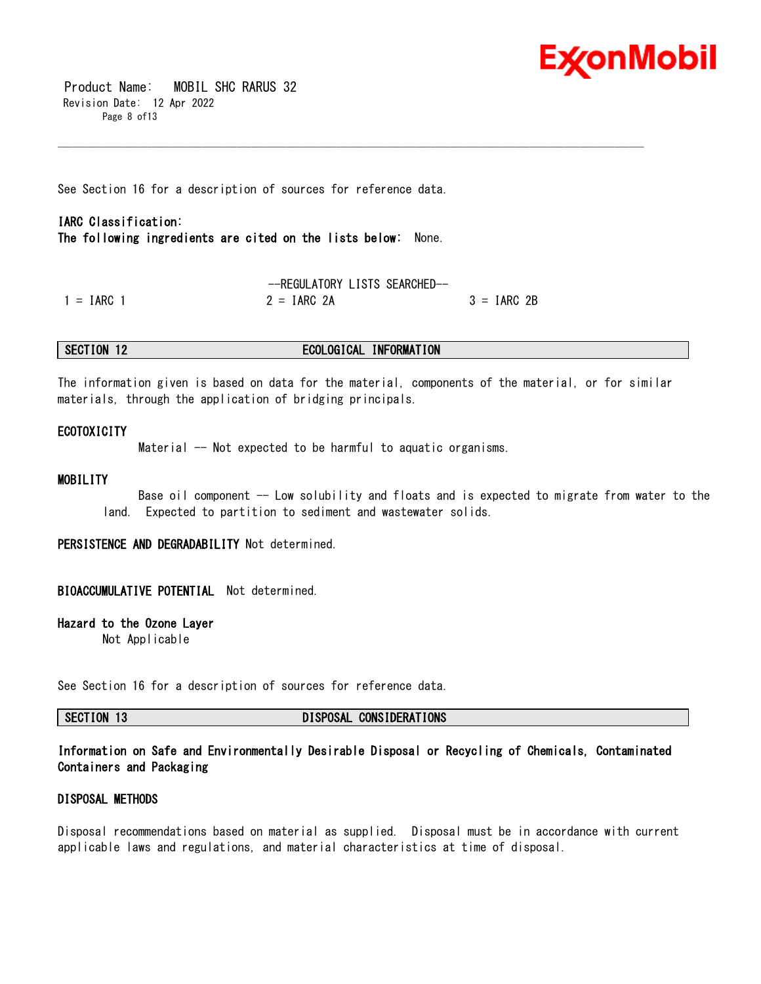

 Product Name: MOBIL SHC RARUS 32 Revision Date: 12 Apr 2022 Page 8 of13

See Section 16 for a description of sources for reference data.

# **IARC Classification: The following ingredients are cited on the lists below:** None.

--REGULATORY LISTS SEARCHED--  $1 = IARC 1$  2 =  $IARC 2A$  3 =  $IARC 2B$ 

# **SECTION 12 ECOLOGICAL INFORMATION**

The information given is based on data for the material, components of the material, or for similar materials, through the application of bridging principals.

\_\_\_\_\_\_\_\_\_\_\_\_\_\_\_\_\_\_\_\_\_\_\_\_\_\_\_\_\_\_\_\_\_\_\_\_\_\_\_\_\_\_\_\_\_\_\_\_\_\_\_\_\_\_\_\_\_\_\_\_\_\_\_\_\_\_\_\_\_\_\_\_\_\_\_\_\_\_\_\_\_\_\_\_\_\_\_\_\_\_\_\_\_\_\_\_\_\_\_\_\_\_\_\_\_\_\_\_\_\_\_\_\_\_\_\_\_\_

# **ECOTOXICITY**

Material -- Not expected to be harmful to aquatic organisms.

# **MOBILITY**

Base oil component -- Low solubility and floats and is expected to migrate from water to the land. Expected to partition to sediment and wastewater solids.

**PERSISTENCE AND DEGRADABILITY** Not determined.

## **BIOACCUMULATIVE POTENTIAL** Not determined.

# **Hazard to the Ozone Layer**

Not Applicable

See Section 16 for a description of sources for reference data.

**SECTION 13 DISPOSAL CONSIDERATIONS**

# **Information on Safe and Environmentally Desirable Disposal or Recycling of Chemicals, Contaminated Containers and Packaging**

# **DISPOSAL METHODS**

Disposal recommendations based on material as supplied. Disposal must be in accordance with current applicable laws and regulations, and material characteristics at time of disposal.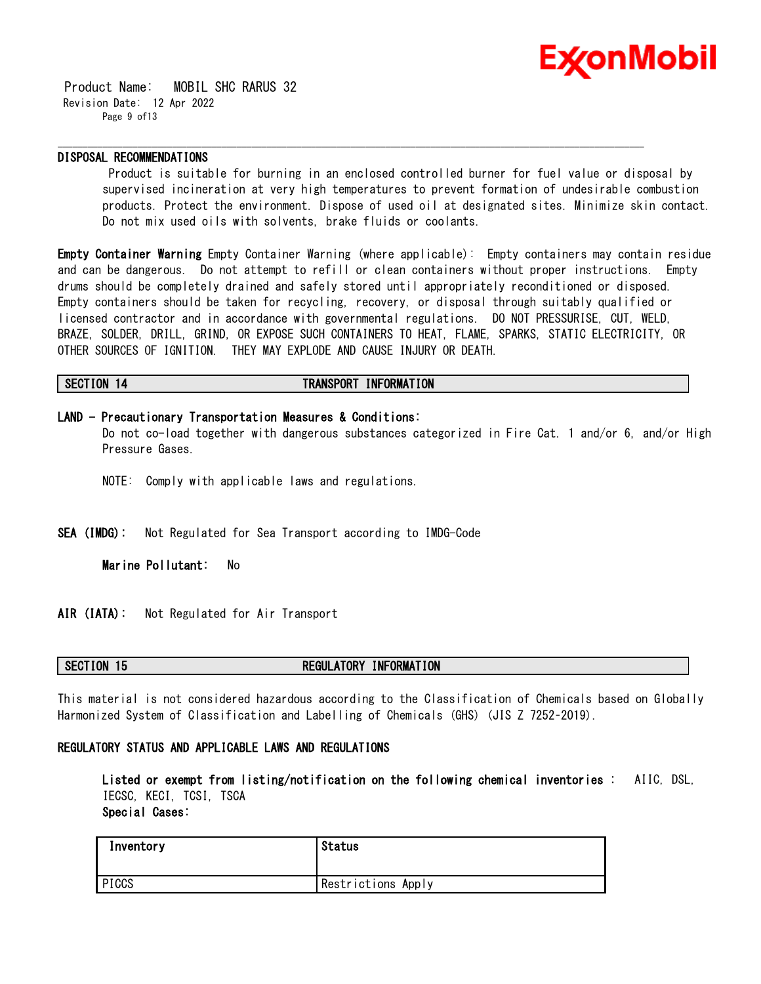

 Product Name: MOBIL SHC RARUS 32 Revision Date: 12 Apr 2022 Page 9 of13

# **DISPOSAL RECOMMENDATIONS**

Product is suitable for burning in an enclosed controlled burner for fuel value or disposal by supervised incineration at very high temperatures to prevent formation of undesirable combustion products. Protect the environment. Dispose of used oil at designated sites. Minimize skin contact. Do not mix used oils with solvents, brake fluids or coolants.

**Empty Container Warning** Empty Container Warning (where applicable): Empty containers may contain residue and can be dangerous. Do not attempt to refill or clean containers without proper instructions. Empty drums should be completely drained and safely stored until appropriately reconditioned or disposed. Empty containers should be taken for recycling, recovery, or disposal through suitably qualified or licensed contractor and in accordance with governmental regulations. DO NOT PRESSURISE, CUT, WELD, BRAZE, SOLDER, DRILL, GRIND, OR EXPOSE SUCH CONTAINERS TO HEAT, FLAME, SPARKS, STATIC ELECTRICITY, OR OTHER SOURCES OF IGNITION. THEY MAY EXPLODE AND CAUSE INJURY OR DEATH.

### **SECTION 14 TRANSPORT INFORMATION**

**LAND - Precautionary Transportation Measures & Conditions:** Do not co-load together with dangerous substances categorized in Fire Cat. 1 and/or 6, and/or High Pressure Gases.

\_\_\_\_\_\_\_\_\_\_\_\_\_\_\_\_\_\_\_\_\_\_\_\_\_\_\_\_\_\_\_\_\_\_\_\_\_\_\_\_\_\_\_\_\_\_\_\_\_\_\_\_\_\_\_\_\_\_\_\_\_\_\_\_\_\_\_\_\_\_\_\_\_\_\_\_\_\_\_\_\_\_\_\_\_\_\_\_\_\_\_\_\_\_\_\_\_\_\_\_\_\_\_\_\_\_\_\_\_\_\_\_\_\_\_\_\_\_

- NOTE: Comply with applicable laws and regulations.
- **SEA (IMDG):** Not Regulated for Sea Transport according to IMDG-Code

**Marine Pollutant:** No

**AIR (IATA):** Not Regulated for Air Transport

# **SECTION 15 REGULATORY INFORMATION**

This material is not considered hazardous according to the Classification of Chemicals based on Globally Harmonized System of Classification and Labelling of Chemicals (GHS) (JIS Z 7252–2019).

# **REGULATORY STATUS AND APPLICABLE LAWS AND REGULATIONS**

**Listed or exempt from listing/notification on the following chemical inventories :** AIIC, DSL, IECSC, KECI, TCSI, TSCA **Special Cases:**

| Inventory | <b>Status</b>      |
|-----------|--------------------|
| PICCS     | Restrictions Apply |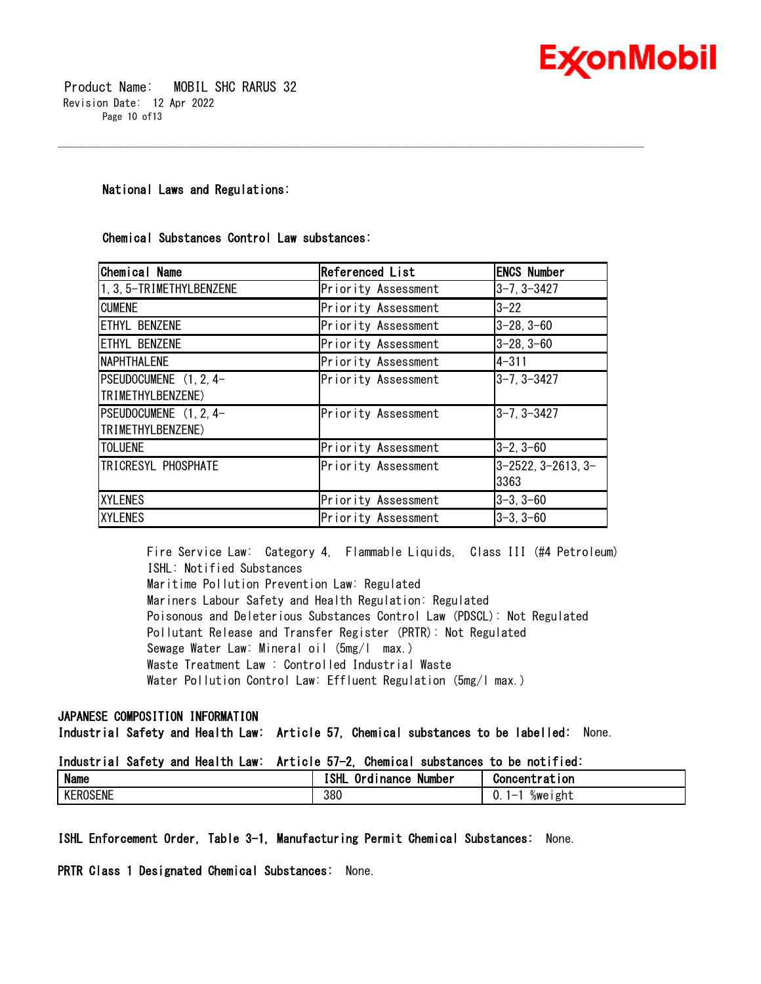

# **National Laws and Regulations:**

# **Chemical Substances Control Law substances:**

| Chemical Name            | <b>Referenced List</b> | <b>ENCS Number</b>              |
|--------------------------|------------------------|---------------------------------|
| 1, 3, 5-TRIMETHYLBENZENE | Priority Assessment    | $3 - 7, 3 - 3427$               |
| <b>CUMENE</b>            | Priority Assessment    | $3 - 22$                        |
| <b>ETHYL BENZENE</b>     | Priority Assessment    | $3 - 28, 3 - 60$                |
| <b>ETHYL BENZENE</b>     | Priority Assessment    | $3 - 28, 3 - 60$                |
| <b>NAPHTHALENE</b>       | Priority Assessment    | $4 - 311$                       |
| PSEUDOCUMENE (1, 2, 4-   | Priority Assessment    | 3-7, 3-3427                     |
| TRIMETHYLBENZENE)        |                        |                                 |
| PSEUDOCUMENE (1, 2, 4-   | Priority Assessment    | $3 - 7, 3 - 3427$               |
| TRIMETHYLBENZENE)        |                        |                                 |
| <b>TOLUENE</b>           | Priority Assessment    | $ 3-2, 3-60$                    |
| TRICRESYL PHOSPHATE      | Priority Assessment    | $3 - 2522$ , $3 - 2613$ , $3 -$ |
|                          |                        | 3363                            |
| <b>XYLENES</b>           | Priority Assessment    | $3-3, 3-60$                     |
| <b>XYLENES</b>           | Priority Assessment    | $3 - 3, 3 - 60$                 |

\_\_\_\_\_\_\_\_\_\_\_\_\_\_\_\_\_\_\_\_\_\_\_\_\_\_\_\_\_\_\_\_\_\_\_\_\_\_\_\_\_\_\_\_\_\_\_\_\_\_\_\_\_\_\_\_\_\_\_\_\_\_\_\_\_\_\_\_\_\_\_\_\_\_\_\_\_\_\_\_\_\_\_\_\_\_\_\_\_\_\_\_\_\_\_\_\_\_\_\_\_\_\_\_\_\_\_\_\_\_\_\_\_\_\_\_\_\_

Fire Service Law: Category 4, Flammable Liquids, Class III (#4 Petroleum) ISHL: Notified Substances Maritime Pollution Prevention Law: Regulated Mariners Labour Safety and Health Regulation: Regulated Poisonous and Deleterious Substances Control Law (PDSCL): Not Regulated Pollutant Release and Transfer Register (PRTR): Not Regulated Sewage Water Law: Mineral oil (5mg/l max.) Waste Treatment Law : Controlled Industrial Waste Water Pollution Control Law: Effluent Regulation (5mg/l max.)

# **JAPANESE COMPOSITION INFORMATION**

**Industrial Safety and Health Law: Article 57, Chemical substances to be labelled:** None.

# **Industrial Safety and Health Law: Article 57-2, Chemical substances to be notified:**

| <b>Name</b>                      | - -<br>10 H<br>. .<br>Number<br><b>Inance</b><br>ю<br> | Concentration      |
|----------------------------------|--------------------------------------------------------|--------------------|
| <b>KEROSENT</b><br><b>{USENE</b> | 380                                                    | ı ght<br>%we<br>v. |

**ISHL Enforcement Order, Table 3-1, Manufacturing Permit Chemical Substances:** None.

**PRTR Class 1 Designated Chemical Substances:** None.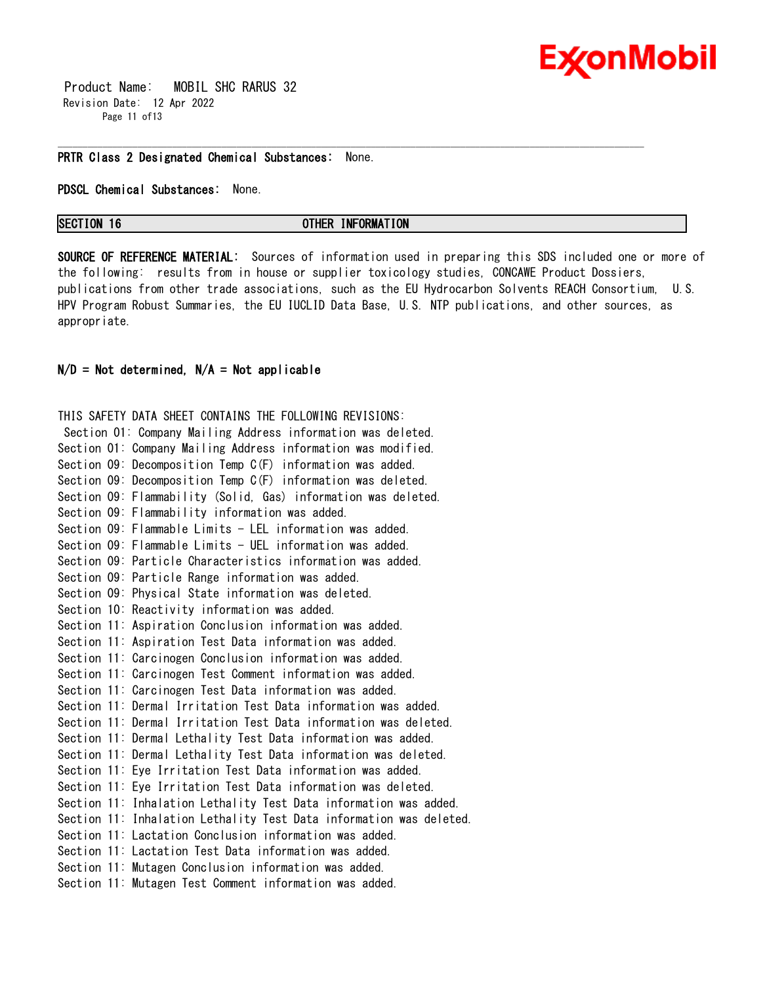# **Ex⁄onMobil**

 Product Name: MOBIL SHC RARUS 32 Revision Date: 12 Apr 2022 Page 11 of13

#### **PRTR Class 2 Designated Chemical Substances:** None.

**PDSCL Chemical Substances:** None.

**SECTION 16 OTHER INFORMATION** 

\_\_\_\_\_\_\_\_\_\_\_\_\_\_\_\_\_\_\_\_\_\_\_\_\_\_\_\_\_\_\_\_\_\_\_\_\_\_\_\_\_\_\_\_\_\_\_\_\_\_\_\_\_\_\_\_\_\_\_\_\_\_\_\_\_\_\_\_\_\_\_\_\_\_\_\_\_\_\_\_\_\_\_\_\_\_\_\_\_\_\_\_\_\_\_\_\_\_\_\_\_\_\_\_\_\_\_\_\_\_\_\_\_\_\_\_\_\_

**SOURCE OF REFERENCE MATERIAL:** Sources of information used in preparing this SDS included one or more of the following: results from in house or supplier toxicology studies, CONCAWE Product Dossiers, publications from other trade associations, such as the EU Hydrocarbon Solvents REACH Consortium, U.S. HPV Program Robust Summaries, the EU IUCLID Data Base, U.S. NTP publications, and other sources, as appropriate.

# **N/D = Not determined, N/A = Not applicable**

THIS SAFETY DATA SHEET CONTAINS THE FOLLOWING REVISIONS: Section 01: Company Mailing Address information was deleted. Section 01: Company Mailing Address information was modified. Section 09: Decomposition Temp C(F) information was added. Section 09: Decomposition Temp C(F) information was deleted. Section 09: Flammability (Solid, Gas) information was deleted. Section 09: Flammability information was added. Section 09: Flammable Limits - LEL information was added. Section 09: Flammable Limits - UEL information was added. Section 09: Particle Characteristics information was added. Section 09: Particle Range information was added. Section 09: Physical State information was deleted. Section 10: Reactivity information was added. Section 11: Aspiration Conclusion information was added. Section 11: Aspiration Test Data information was added. Section 11: Carcinogen Conclusion information was added. Section 11: Carcinogen Test Comment information was added. Section 11: Carcinogen Test Data information was added. Section 11: Dermal Irritation Test Data information was added. Section 11: Dermal Irritation Test Data information was deleted. Section 11: Dermal Lethality Test Data information was added. Section 11: Dermal Lethality Test Data information was deleted. Section 11: Eye Irritation Test Data information was added. Section 11: Eye Irritation Test Data information was deleted. Section 11: Inhalation Lethality Test Data information was added. Section 11: Inhalation Lethality Test Data information was deleted. Section 11: Lactation Conclusion information was added. Section 11: Lactation Test Data information was added. Section 11: Mutagen Conclusion information was added. Section 11: Mutagen Test Comment information was added.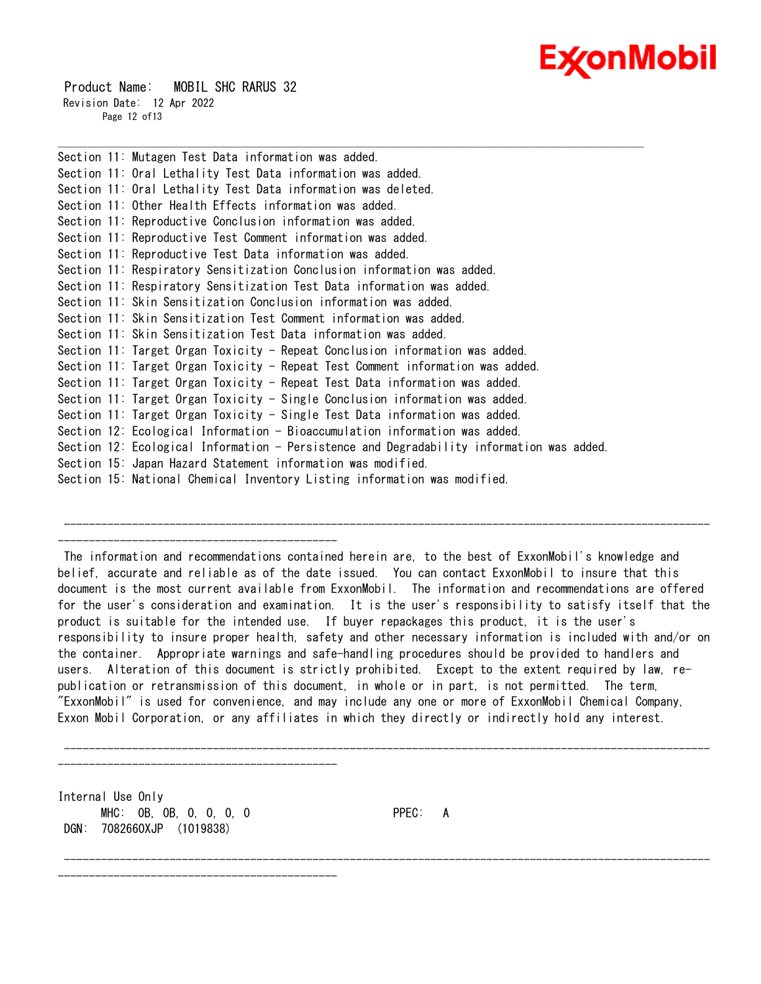# **ExconMobil**

 Product Name: MOBIL SHC RARUS 32 Revision Date: 12 Apr 2022 Page 12 of13

Section 11: Mutagen Test Data information was added. Section 11: Oral Lethality Test Data information was added. Section 11: Oral Lethality Test Data information was deleted. Section 11: Other Health Effects information was added. Section 11: Reproductive Conclusion information was added. Section 11: Reproductive Test Comment information was added. Section 11: Reproductive Test Data information was added. Section 11: Respiratory Sensitization Conclusion information was added. Section 11: Respiratory Sensitization Test Data information was added. Section 11: Skin Sensitization Conclusion information was added. Section 11: Skin Sensitization Test Comment information was added. Section 11: Skin Sensitization Test Data information was added. Section 11: Target Organ Toxicity - Repeat Conclusion information was added. Section 11: Target Organ Toxicity - Repeat Test Comment information was added. Section 11: Target Organ Toxicity - Repeat Test Data information was added. Section 11: Target Organ Toxicity - Single Conclusion information was added. Section 11: Target Organ Toxicity - Single Test Data information was added. Section 12: Ecological Information - Bioaccumulation information was added. Section 12: Ecological Information - Persistence and Degradability information was added. Section 15: Japan Hazard Statement information was modified. Section 15: National Chemical Inventory Listing information was modified.

\_\_\_\_\_\_\_\_\_\_\_\_\_\_\_\_\_\_\_\_\_\_\_\_\_\_\_\_\_\_\_\_\_\_\_\_\_\_\_\_\_\_\_\_\_\_\_\_\_\_\_\_\_\_\_\_\_\_\_\_\_\_\_\_\_\_\_\_\_\_\_\_\_\_\_\_\_\_\_\_\_\_\_\_\_\_\_\_\_\_\_\_\_\_\_\_\_\_\_\_\_\_\_\_\_\_\_\_\_\_\_\_\_\_\_\_\_\_

-------------------------------------------------------------------------------------------------------- ---------------------------------------------

---------------------------------------------

---------------------------------------------

The information and recommendations contained herein are, to the best of ExxonMobil's knowledge and belief, accurate and reliable as of the date issued. You can contact ExxonMobil to insure that this document is the most current available from ExxonMobil. The information and recommendations are offered for the user's consideration and examination. It is the user's responsibility to satisfy itself that the product is suitable for the intended use. If buyer repackages this product, it is the user's responsibility to insure proper health, safety and other necessary information is included with and/or on the container. Appropriate warnings and safe-handling procedures should be provided to handlers and users. Alteration of this document is strictly prohibited. Except to the extent required by law, republication or retransmission of this document, in whole or in part, is not permitted. The term, "ExxonMobil" is used for convenience, and may include any one or more of ExxonMobil Chemical Company, Exxon Mobil Corporation, or any affiliates in which they directly or indirectly hold any interest.

--------------------------------------------------------------------------------------------------------

--------------------------------------------------------------------------------------------------------

Internal Use Only MHC: 0B, 0B, 0, 0, 0, 0 PPEC: A DGN: 7082660XJP (1019838)